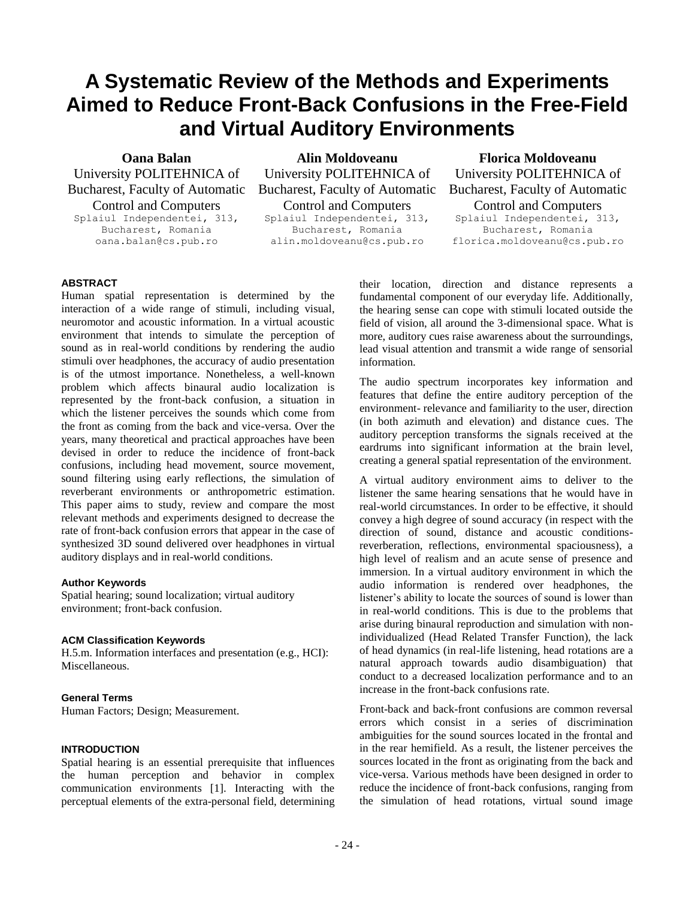# **A Systematic Review of the Methods and Experiments Aimed to Reduce Front-Back Confusions in the Free-Field and Virtual Auditory Environments**

# **Oana Balan**

University POLITEHNICA of Bucharest, Faculty of Automatic Control and Computers Splaiul Independentei, 313, Bucharest, Romania

oana.balan@cs.pub.ro

**Alin Moldoveanu** University POLITEHNICA of Bucharest, Faculty of Automatic Control and Computers

Splaiul Independentei, 313, Bucharest, Romania alin.moldoveanu@cs.pub.ro

**Florica Moldoveanu** University POLITEHNICA of Bucharest, Faculty of Automatic Control and Computers Splaiul Independentei, 313,

Bucharest, Romania florica.moldoveanu@cs.pub.ro

## **ABSTRACT**

Human spatial representation is determined by the interaction of a wide range of stimuli, including visual, neuromotor and acoustic information. In a virtual acoustic environment that intends to simulate the perception of sound as in real-world conditions by rendering the audio stimuli over headphones, the accuracy of audio presentation is of the utmost importance. Nonetheless, a well-known problem which affects binaural audio localization is represented by the front-back confusion, a situation in which the listener perceives the sounds which come from the front as coming from the back and vice-versa. Over the years, many theoretical and practical approaches have been devised in order to reduce the incidence of front-back confusions, including head movement, source movement, sound filtering using early reflections, the simulation of reverberant environments or anthropometric estimation. This paper aims to study, review and compare the most relevant methods and experiments designed to decrease the rate of front-back confusion errors that appear in the case of synthesized 3D sound delivered over headphones in virtual auditory displays and in real-world conditions.

#### **Author Keywords**

Spatial hearing; sound localization; virtual auditory environment; front-back confusion.

## **ACM Classification Keywords**

H.5.m. Information interfaces and presentation (e.g., HCI): Miscellaneous.

#### **General Terms**

Human Factors; Design; Measurement.

#### **INTRODUCTION**

Spatial hearing is an essential prerequisite that influences the human perception and behavior in complex communication environments [1]. Interacting with the perceptual elements of the extra-personal field, determining their location, direction and distance represents a fundamental component of our everyday life. Additionally, the hearing sense can cope with stimuli located outside the field of vision, all around the 3-dimensional space. What is more, auditory cues raise awareness about the surroundings, lead visual attention and transmit a wide range of sensorial information.

The audio spectrum incorporates key information and features that define the entire auditory perception of the environment- relevance and familiarity to the user, direction (in both azimuth and elevation) and distance cues. The auditory perception transforms the signals received at the eardrums into significant information at the brain level, creating a general spatial representation of the environment.

A virtual auditory environment aims to deliver to the listener the same hearing sensations that he would have in real-world circumstances. In order to be effective, it should convey a high degree of sound accuracy (in respect with the direction of sound, distance and acoustic conditionsreverberation, reflections, environmental spaciousness), a high level of realism and an acute sense of presence and immersion. In a virtual auditory environment in which the audio information is rendered over headphones, the listener's ability to locate the sources of sound is lower than in real-world conditions. This is due to the problems that arise during binaural reproduction and simulation with nonindividualized (Head Related Transfer Function), the lack of head dynamics (in real-life listening, head rotations are a natural approach towards audio disambiguation) that conduct to a decreased localization performance and to an increase in the front-back confusions rate.

Front-back and back-front confusions are common reversal errors which consist in a series of discrimination ambiguities for the sound sources located in the frontal and in the rear hemifield. As a result, the listener perceives the sources located in the front as originating from the back and vice-versa. Various methods have been designed in order to reduce the incidence of front-back confusions, ranging from the simulation of head rotations, virtual sound image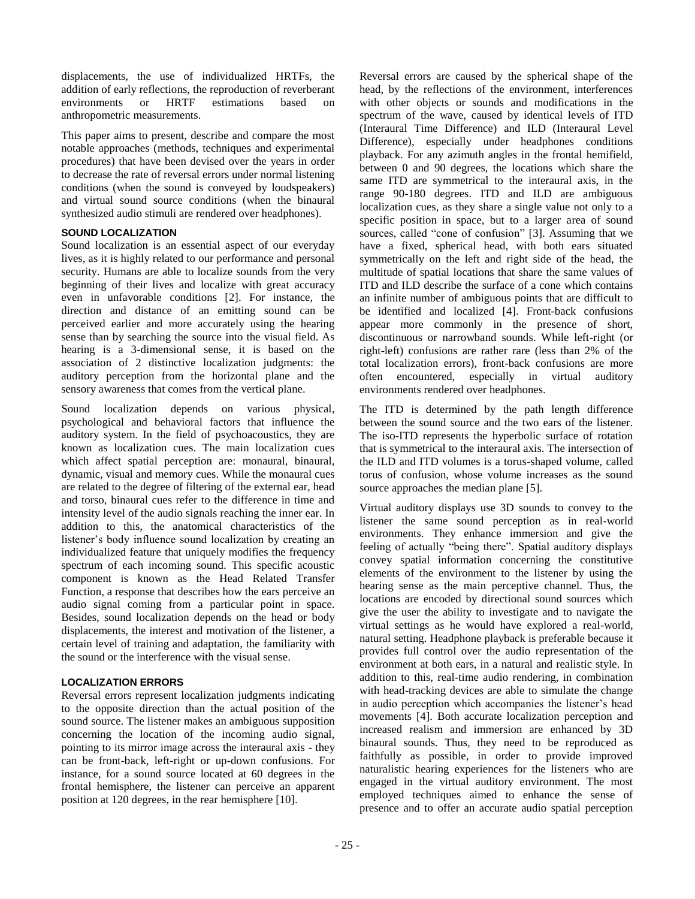displacements, the use of individualized HRTFs, the addition of early reflections, the reproduction of reverberant environments or HRTF estimations based on anthropometric measurements.

This paper aims to present, describe and compare the most notable approaches (methods, techniques and experimental procedures) that have been devised over the years in order to decrease the rate of reversal errors under normal listening conditions (when the sound is conveyed by loudspeakers) and virtual sound source conditions (when the binaural synthesized audio stimuli are rendered over headphones).

# **SOUND LOCALIZATION**

Sound localization is an essential aspect of our everyday lives, as it is highly related to our performance and personal security. Humans are able to localize sounds from the very beginning of their lives and localize with great accuracy even in unfavorable conditions [2]. For instance, the direction and distance of an emitting sound can be perceived earlier and more accurately using the hearing sense than by searching the source into the visual field. As hearing is a 3-dimensional sense, it is based on the association of 2 distinctive localization judgments: the auditory perception from the horizontal plane and the sensory awareness that comes from the vertical plane.

Sound localization depends on various physical, psychological and behavioral factors that influence the auditory system. In the field of psychoacoustics, they are known as localization cues. The main localization cues which affect spatial perception are: monaural, binaural, dynamic, visual and memory cues. While the monaural cues are related to the degree of filtering of the external ear, head and torso, binaural cues refer to the difference in time and intensity level of the audio signals reaching the inner ear. In addition to this, the anatomical characteristics of the listener's body influence sound localization by creating an individualized feature that uniquely modifies the frequency spectrum of each incoming sound. This specific acoustic component is known as the Head Related Transfer Function, a response that describes how the ears perceive an audio signal coming from a particular point in space. Besides, sound localization depends on the head or body displacements, the interest and motivation of the listener, a certain level of training and adaptation, the familiarity with the sound or the interference with the visual sense.

## **LOCALIZATION ERRORS**

Reversal errors represent localization judgments indicating to the opposite direction than the actual position of the sound source. The listener makes an ambiguous supposition concerning the location of the incoming audio signal, pointing to its mirror image across the interaural axis - they can be front-back, left-right or up-down confusions. For instance, for a sound source located at 60 degrees in the frontal hemisphere, the listener can perceive an apparent position at 120 degrees, in the rear hemisphere [10].

Reversal errors are caused by the spherical shape of the head, by the reflections of the environment, interferences with other objects or sounds and modifications in the spectrum of the wave, caused by identical levels of ITD (Interaural Time Difference) and ILD (Interaural Level Difference), especially under headphones conditions playback. For any azimuth angles in the frontal hemifield, between 0 and 90 degrees, the locations which share the same ITD are symmetrical to the interaural axis, in the range 90-180 degrees. ITD and ILD are ambiguous localization cues, as they share a single value not only to a specific position in space, but to a larger area of sound sources, called "cone of confusion" [3]. Assuming that we have a fixed, spherical head, with both ears situated symmetrically on the left and right side of the head, the multitude of spatial locations that share the same values of ITD and ILD describe the surface of a cone which contains an infinite number of ambiguous points that are difficult to be identified and localized [4]. Front-back confusions appear more commonly in the presence of short, discontinuous or narrowband sounds. While left-right (or right-left) confusions are rather rare (less than 2% of the total localization errors), front-back confusions are more often encountered, especially in virtual auditory environments rendered over headphones.

The ITD is determined by the path length difference between the sound source and the two ears of the listener. The iso-ITD represents the hyperbolic surface of rotation that is symmetrical to the interaural axis. The intersection of the ILD and ITD volumes is a torus-shaped volume, called torus of confusion, whose volume increases as the sound source approaches the median plane [5].

Virtual auditory displays use 3D sounds to convey to the listener the same sound perception as in real-world environments. They enhance immersion and give the feeling of actually "being there". Spatial auditory displays convey spatial information concerning the constitutive elements of the environment to the listener by using the hearing sense as the main perceptive channel. Thus, the locations are encoded by directional sound sources which give the user the ability to investigate and to navigate the virtual settings as he would have explored a real-world, natural setting. Headphone playback is preferable because it provides full control over the audio representation of the environment at both ears, in a natural and realistic style. In addition to this, real-time audio rendering, in combination with head-tracking devices are able to simulate the change in audio perception which accompanies the listener's head movements [4]. Both accurate localization perception and increased realism and immersion are enhanced by 3D binaural sounds. Thus, they need to be reproduced as faithfully as possible, in order to provide improved naturalistic hearing experiences for the listeners who are engaged in the virtual auditory environment. The most employed techniques aimed to enhance the sense of presence and to offer an accurate audio spatial perception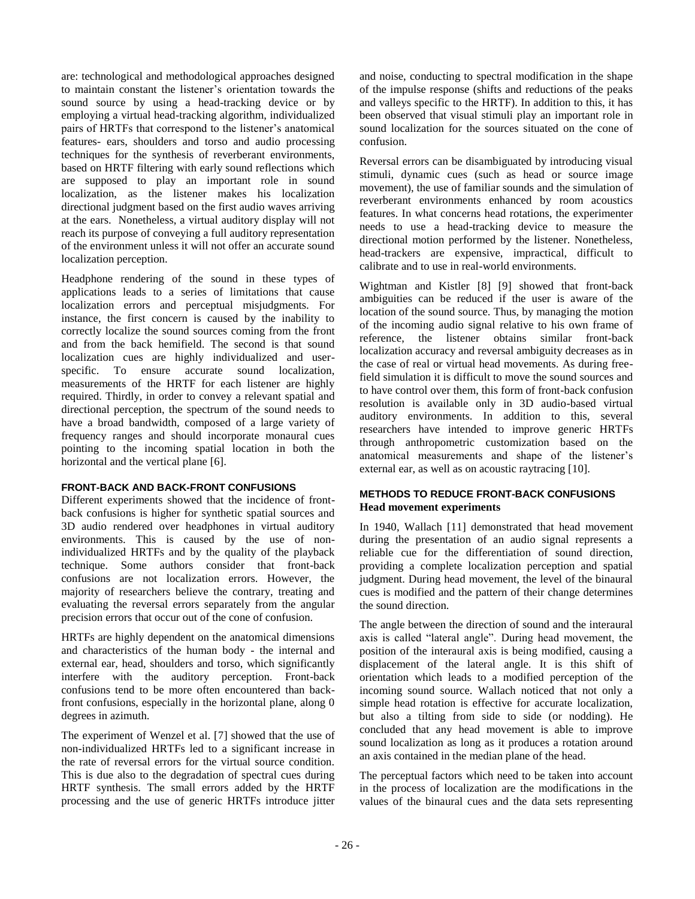are: technological and methodological approaches designed to maintain constant the listener's orientation towards the sound source by using a head-tracking device or by employing a virtual head-tracking algorithm, individualized pairs of HRTFs that correspond to the listener's anatomical features- ears, shoulders and torso and audio processing techniques for the synthesis of reverberant environments, based on HRTF filtering with early sound reflections which are supposed to play an important role in sound localization, as the listener makes his localization directional judgment based on the first audio waves arriving at the ears. Nonetheless, a virtual auditory display will not reach its purpose of conveying a full auditory representation of the environment unless it will not offer an accurate sound localization perception.

Headphone rendering of the sound in these types of applications leads to a series of limitations that cause localization errors and perceptual misjudgments. For instance, the first concern is caused by the inability to correctly localize the sound sources coming from the front and from the back hemifield. The second is that sound localization cues are highly individualized and userspecific. To ensure accurate sound localization, measurements of the HRTF for each listener are highly required. Thirdly, in order to convey a relevant spatial and directional perception, the spectrum of the sound needs to have a broad bandwidth, composed of a large variety of frequency ranges and should incorporate monaural cues pointing to the incoming spatial location in both the horizontal and the vertical plane [6].

# **FRONT-BACK AND BACK-FRONT CONFUSIONS**

Different experiments showed that the incidence of frontback confusions is higher for synthetic spatial sources and 3D audio rendered over headphones in virtual auditory environments. This is caused by the use of nonindividualized HRTFs and by the quality of the playback technique. Some authors consider that front-back confusions are not localization errors. However, the majority of researchers believe the contrary, treating and evaluating the reversal errors separately from the angular precision errors that occur out of the cone of confusion.

HRTFs are highly dependent on the anatomical dimensions and characteristics of the human body - the internal and external ear, head, shoulders and torso, which significantly interfere with the auditory perception. Front-back confusions tend to be more often encountered than backfront confusions, especially in the horizontal plane, along 0 degrees in azimuth.

The experiment of Wenzel et al. [7] showed that the use of non-individualized HRTFs led to a significant increase in the rate of reversal errors for the virtual source condition. This is due also to the degradation of spectral cues during HRTF synthesis. The small errors added by the HRTF processing and the use of generic HRTFs introduce jitter

and noise, conducting to spectral modification in the shape of the impulse response (shifts and reductions of the peaks and valleys specific to the HRTF). In addition to this, it has been observed that visual stimuli play an important role in sound localization for the sources situated on the cone of confusion.

Reversal errors can be disambiguated by introducing visual stimuli, dynamic cues (such as head or source image movement), the use of familiar sounds and the simulation of reverberant environments enhanced by room acoustics features. In what concerns head rotations, the experimenter needs to use a head-tracking device to measure the directional motion performed by the listener. Nonetheless, head-trackers are expensive, impractical, difficult to calibrate and to use in real-world environments.

Wightman and Kistler [8] [9] showed that front-back ambiguities can be reduced if the user is aware of the location of the sound source. Thus, by managing the motion of the incoming audio signal relative to his own frame of reference, the listener obtains similar front-back localization accuracy and reversal ambiguity decreases as in the case of real or virtual head movements. As during freefield simulation it is difficult to move the sound sources and to have control over them, this form of front-back confusion resolution is available only in 3D audio-based virtual auditory environments. In addition to this, several researchers have intended to improve generic HRTFs through anthropometric customization based on the anatomical measurements and shape of the listener's external ear, as well as on acoustic raytracing [10].

#### **METHODS TO REDUCE FRONT-BACK CONFUSIONS Head movement experiments**

In 1940, Wallach [11] demonstrated that head movement during the presentation of an audio signal represents a reliable cue for the differentiation of sound direction, providing a complete localization perception and spatial judgment. During head movement, the level of the binaural cues is modified and the pattern of their change determines the sound direction.

The angle between the direction of sound and the interaural axis is called "lateral angle". During head movement, the position of the interaural axis is being modified, causing a displacement of the lateral angle. It is this shift of orientation which leads to a modified perception of the incoming sound source. Wallach noticed that not only a simple head rotation is effective for accurate localization, but also a tilting from side to side (or nodding). He concluded that any head movement is able to improve sound localization as long as it produces a rotation around an axis contained in the median plane of the head.

The perceptual factors which need to be taken into account in the process of localization are the modifications in the values of the binaural cues and the data sets representing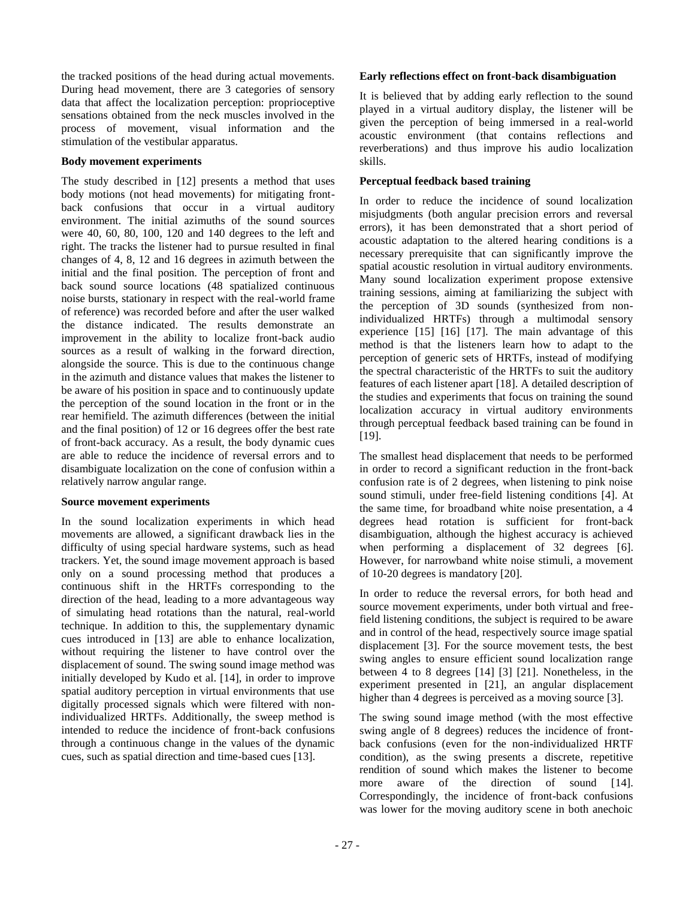the tracked positions of the head during actual movements. During head movement, there are 3 categories of sensory data that affect the localization perception: proprioceptive sensations obtained from the neck muscles involved in the process of movement, visual information and the stimulation of the vestibular apparatus.

#### **Body movement experiments**

The study described in [12] presents a method that uses body motions (not head movements) for mitigating frontback confusions that occur in a virtual auditory environment. The initial azimuths of the sound sources were 40, 60, 80, 100, 120 and 140 degrees to the left and right. The tracks the listener had to pursue resulted in final changes of 4, 8, 12 and 16 degrees in azimuth between the initial and the final position. The perception of front and back sound source locations (48 spatialized continuous noise bursts, stationary in respect with the real-world frame of reference) was recorded before and after the user walked the distance indicated. The results demonstrate an improvement in the ability to localize front-back audio sources as a result of walking in the forward direction, alongside the source. This is due to the continuous change in the azimuth and distance values that makes the listener to be aware of his position in space and to continuously update the perception of the sound location in the front or in the rear hemifield. The azimuth differences (between the initial and the final position) of 12 or 16 degrees offer the best rate of front-back accuracy. As a result, the body dynamic cues are able to reduce the incidence of reversal errors and to disambiguate localization on the cone of confusion within a relatively narrow angular range.

## **Source movement experiments**

In the sound localization experiments in which head movements are allowed, a significant drawback lies in the difficulty of using special hardware systems, such as head trackers. Yet, the sound image movement approach is based only on a sound processing method that produces a continuous shift in the HRTFs corresponding to the direction of the head, leading to a more advantageous way of simulating head rotations than the natural, real-world technique. In addition to this, the supplementary dynamic cues introduced in [13] are able to enhance localization, without requiring the listener to have control over the displacement of sound. The swing sound image method was initially developed by Kudo et al. [14], in order to improve spatial auditory perception in virtual environments that use digitally processed signals which were filtered with nonindividualized HRTFs. Additionally, the sweep method is intended to reduce the incidence of front-back confusions through a continuous change in the values of the dynamic cues, such as spatial direction and time-based cues [13].

## **Early reflections effect on front-back disambiguation**

It is believed that by adding early reflection to the sound played in a virtual auditory display, the listener will be given the perception of being immersed in a real-world acoustic environment (that contains reflections and reverberations) and thus improve his audio localization skills.

# **Perceptual feedback based training**

In order to reduce the incidence of sound localization misjudgments (both angular precision errors and reversal errors), it has been demonstrated that a short period of acoustic adaptation to the altered hearing conditions is a necessary prerequisite that can significantly improve the spatial acoustic resolution in virtual auditory environments. Many sound localization experiment propose extensive training sessions, aiming at familiarizing the subject with the perception of 3D sounds (synthesized from nonindividualized HRTFs) through a multimodal sensory experience [15] [16] [17]. The main advantage of this method is that the listeners learn how to adapt to the perception of generic sets of HRTFs, instead of modifying the spectral characteristic of the HRTFs to suit the auditory features of each listener apart [18]. A detailed description of the studies and experiments that focus on training the sound localization accuracy in virtual auditory environments through perceptual feedback based training can be found in [19].

The smallest head displacement that needs to be performed in order to record a significant reduction in the front-back confusion rate is of 2 degrees, when listening to pink noise sound stimuli, under free-field listening conditions [4]. At the same time, for broadband white noise presentation, a 4 degrees head rotation is sufficient for front-back disambiguation, although the highest accuracy is achieved when performing a displacement of 32 degrees [6]. However, for narrowband white noise stimuli, a movement of 10-20 degrees is mandatory [20].

In order to reduce the reversal errors, for both head and source movement experiments, under both virtual and freefield listening conditions, the subject is required to be aware and in control of the head, respectively source image spatial displacement [3]. For the source movement tests, the best swing angles to ensure efficient sound localization range between 4 to 8 degrees [14] [3] [21]. Nonetheless, in the experiment presented in [21], an angular displacement higher than 4 degrees is perceived as a moving source [3].

The swing sound image method (with the most effective swing angle of 8 degrees) reduces the incidence of frontback confusions (even for the non-individualized HRTF condition), as the swing presents a discrete, repetitive rendition of sound which makes the listener to become more aware of the direction of sound [14]. Correspondingly, the incidence of front-back confusions was lower for the moving auditory scene in both anechoic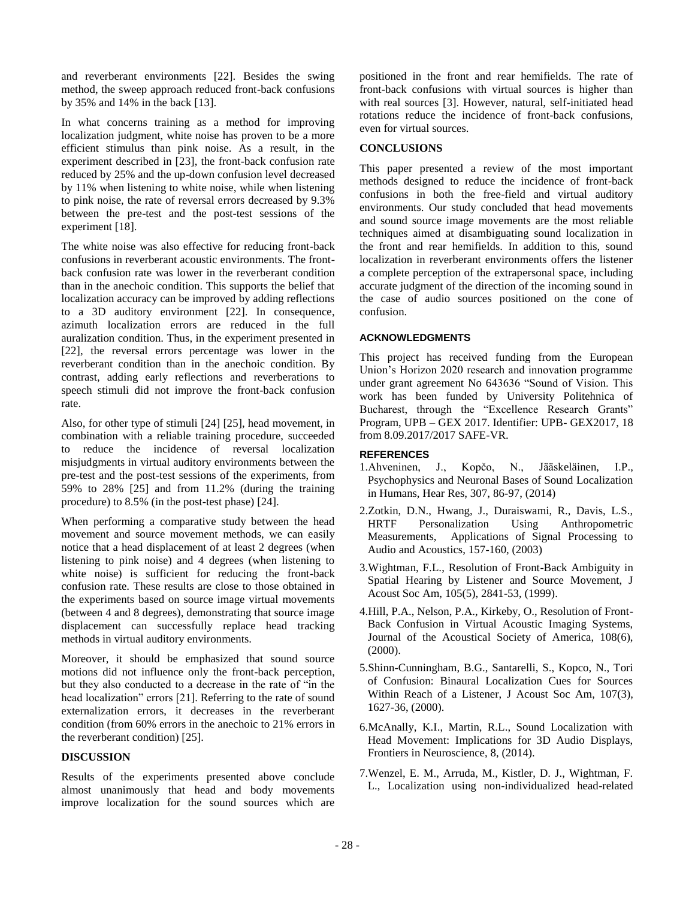and reverberant environments [22]. Besides the swing method, the sweep approach reduced front-back confusions by 35% and 14% in the back [13].

In what concerns training as a method for improving localization judgment, white noise has proven to be a more efficient stimulus than pink noise. As a result, in the experiment described in [23], the front-back confusion rate reduced by 25% and the up-down confusion level decreased by 11% when listening to white noise, while when listening to pink noise, the rate of reversal errors decreased by 9.3% between the pre-test and the post-test sessions of the experiment [18].

The white noise was also effective for reducing front-back confusions in reverberant acoustic environments. The frontback confusion rate was lower in the reverberant condition than in the anechoic condition. This supports the belief that localization accuracy can be improved by adding reflections to a 3D auditory environment [22]. In consequence, azimuth localization errors are reduced in the full auralization condition. Thus, in the experiment presented in [22], the reversal errors percentage was lower in the reverberant condition than in the anechoic condition. By contrast, adding early reflections and reverberations to speech stimuli did not improve the front-back confusion rate.

Also, for other type of stimuli [24] [25], head movement, in combination with a reliable training procedure, succeeded to reduce the incidence of reversal localization misjudgments in virtual auditory environments between the pre-test and the post-test sessions of the experiments, from 59% to 28% [25] and from 11.2% (during the training procedure) to 8.5% (in the post-test phase) [24].

When performing a comparative study between the head movement and source movement methods, we can easily notice that a head displacement of at least 2 degrees (when listening to pink noise) and 4 degrees (when listening to white noise) is sufficient for reducing the front-back confusion rate. These results are close to those obtained in the experiments based on source image virtual movements (between 4 and 8 degrees), demonstrating that source image displacement can successfully replace head tracking methods in virtual auditory environments.

Moreover, it should be emphasized that sound source motions did not influence only the front-back perception, but they also conducted to a decrease in the rate of "in the head localization" errors [21]. Referring to the rate of sound externalization errors, it decreases in the reverberant condition (from 60% errors in the anechoic to 21% errors in the reverberant condition) [25].

# **DISCUSSION**

Results of the experiments presented above conclude almost unanimously that head and body movements improve localization for the sound sources which are positioned in the front and rear hemifields. The rate of front-back confusions with virtual sources is higher than with real sources [3]. However, natural, self-initiated head rotations reduce the incidence of front-back confusions, even for virtual sources.

#### **CONCLUSIONS**

This paper presented a review of the most important methods designed to reduce the incidence of front-back confusions in both the free-field and virtual auditory environments. Our study concluded that head movements and sound source image movements are the most reliable techniques aimed at disambiguating sound localization in the front and rear hemifields. In addition to this, sound localization in reverberant environments offers the listener a complete perception of the extrapersonal space, including accurate judgment of the direction of the incoming sound in the case of audio sources positioned on the cone of confusion.

#### **ACKNOWLEDGMENTS**

This project has received funding from the European Union's Horizon 2020 research and innovation programme under grant agreement No 643636 "Sound of Vision. This work has been funded by University Politehnica of Bucharest, through the "Excellence Research Grants" Program, UPB – GEX 2017. Identifier: UPB- GEX2017, 18 from 8.09.2017/2017 SAFE-VR.

#### **REFERENCES**

- 1.Ahveninen, J., Kopčo, N., Jääskeläinen, I.P., Psychophysics and Neuronal Bases of Sound Localization in Humans, Hear Res, 307, 86-97, (2014)
- 2.Zotkin, D.N., Hwang, J., Duraiswami, R., Davis, L.S., HRTF Personalization Using Anthropometric Measurements, Applications of Signal Processing to Audio and Acoustics, 157-160, (2003)
- 3.Wightman, F.L., Resolution of Front-Back Ambiguity in Spatial Hearing by Listener and Source Movement, J Acoust Soc Am, 105(5), 2841-53, (1999).
- 4.Hill, P.A., Nelson, P.A., Kirkeby, O., Resolution of Front-Back Confusion in Virtual Acoustic Imaging Systems, Journal of the Acoustical Society of America, 108(6), (2000).
- 5.Shinn-Cunningham, B.G., Santarelli, S., Kopco, N., Tori of Confusion: Binaural Localization Cues for Sources Within Reach of a Listener, J Acoust Soc Am, 107(3), 1627-36, (2000).
- 6.McAnally, K.I., Martin, R.L., Sound Localization with Head Movement: Implications for 3D Audio Displays, Frontiers in Neuroscience, 8, (2014).
- 7.Wenzel, E. M., Arruda, M., Kistler, D. J., Wightman, F. L., Localization using non-individualized head-related